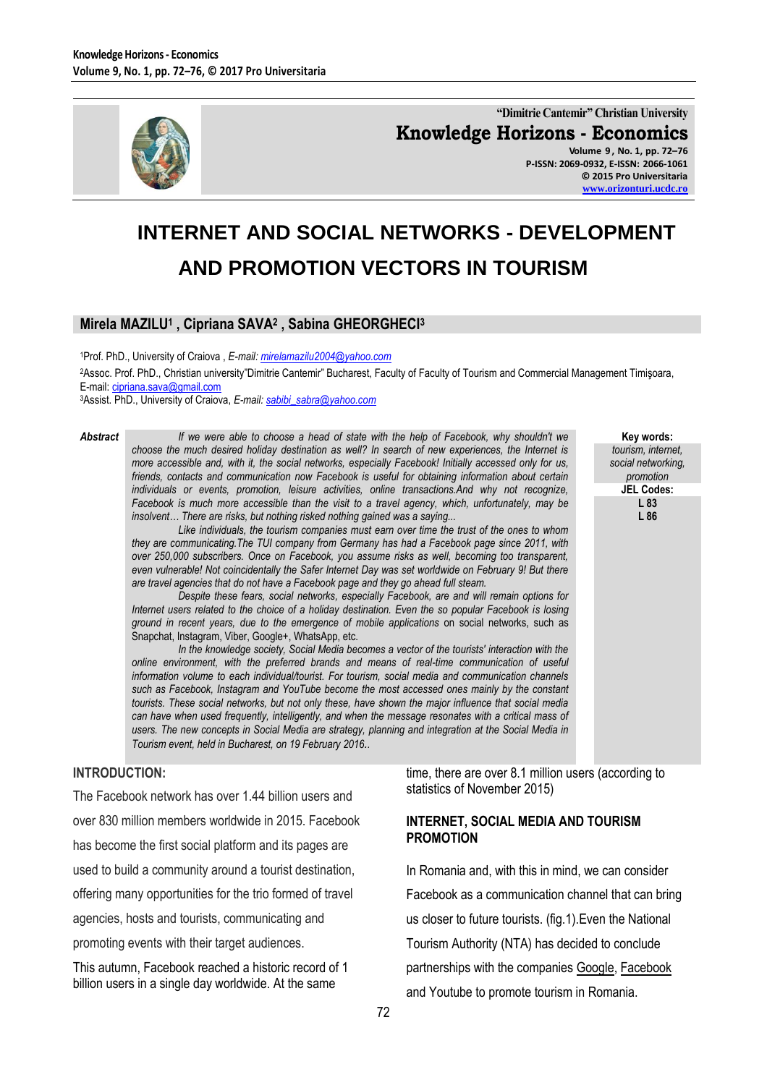

**"Dimitrie Cantemir" Christian University Knowledge Horizons - Economics Volume 9 , No. 1, pp. 72–76 P-ISSN: 2069-0932, E-ISSN: 2066-1061**

**© 2015 Pro Universitaria [www.orizonturi.ucdc.ro](http://www.orizonturi.ucdc.ro/)**

> **Key words:** *tourism, internet, social networking, promotion* **JEL Codes: L 83 L 86**

# **INTERNET AND SOCIAL NETWORKS - DEVELOPMENT AND PROMOTION VECTORS IN TOURISM**

## **Mirela MAZILU<sup>1</sup> , Cipriana SAVA<sup>2</sup> , Sabina GHEORGHECI<sup>3</sup>**

<sup>1</sup>Prof. PhD., University of Craiova , *E-mail[: mirelamazilu2004@yahoo.com](mailto:mirelamazilu2004@yahoo.com)*

<sup>2</sup>Assoc. Prof. PhD., Christian university"Dimitrie Cantemir" Bucharest, Faculty of Faculty of Tourism and Commercial Management Timişoara, E-mail: [cipriana.sava@gmail.com](mailto:cipriana.sava@gmail.com)

<sup>3</sup>Assist. PhD., University of Craiova, *E-mail[: sabibi\\_sabra@yahoo.com](mailto:sabibi_sabra@yahoo.com)*

*Abstract If we were able to choose a head of state with the help of Facebook, why shouldn't we choose the much desired holiday destination as well? In search of new experiences, the Internet is more accessible and, with it, the social networks, especially Facebook! Initially accessed only for us, friends, contacts and communication now Facebook is useful for obtaining information about certain individuals or events, promotion, leisure activities, online transactions.And why not recognize, Facebook is much more accessible than the visit to a travel agency, which, unfortunately, may be insolvent… There are risks, but nothing risked nothing gained was a saying...*

*Like individuals, the tourism companies must earn over time the trust of the ones to whom they are communicating.The TUI company from Germany has had a Facebook page since 2011, with over 250,000 subscribers. Once on Facebook, you assume risks as well, becoming too transparent, even vulnerable! Not coincidentally the Safer Internet Day was set worldwide on February 9! But there are travel agencies that do not have a Facebook page and they go ahead full steam.* 

*Despite these fears, social networks, especially Facebook, are and will remain options for Internet users related to the choice of a holiday destination. Even the so popular Facebook is losing ground in recent years, due to the emergence of mobile applications* on social networks, such as Snapchat, Instagram, Viber, Google+, WhatsApp, etc.

*In the knowledge society, Social Media becomes a vector of the tourists' interaction with the online environment, with the preferred brands and means of real-time communication of useful information volume to each individual/tourist. For tourism, social media and communication channels such as Facebook, Instagram and YouTube become the most accessed ones mainly by the constant tourists. These social networks, but not only these, have shown the major influence that social media can have when used frequently, intelligently, and when the message resonates with a critical mass of users. The new concepts in Social Media are strategy, planning and integration at the Social Media in Tourism event, held in Bucharest, on 19 February 2016..*

### **INTRODUCTION:**

The Facebook network has over 1.44 billion users and over 830 million members worldwide in 2015. Facebook has become the first social platform and its pages are used to build a community around a tourist destination, offering many opportunities for the trio formed of travel agencies, hosts and tourists, communicating and promoting events with their target audiences.

This autumn, Facebook reached a historic record of 1 billion users in a single day worldwide. At the same

time, there are over 8.1 million users (according to statistics of November 2015)

#### **INTERNET, SOCIAL MEDIA AND TOURISM PROMOTION**

In Romania and, with this in mind, we can consider Facebook as a communication channel that can bring us closer to future tourists. (fig.1).Even the National Tourism Authority (NTA) has decided to conclude partnerships with the companies [Google,](http://www.ziare.com/google/) [Facebook](http://www.ziare.com/facebook/) and Youtube to promote tourism in Romania.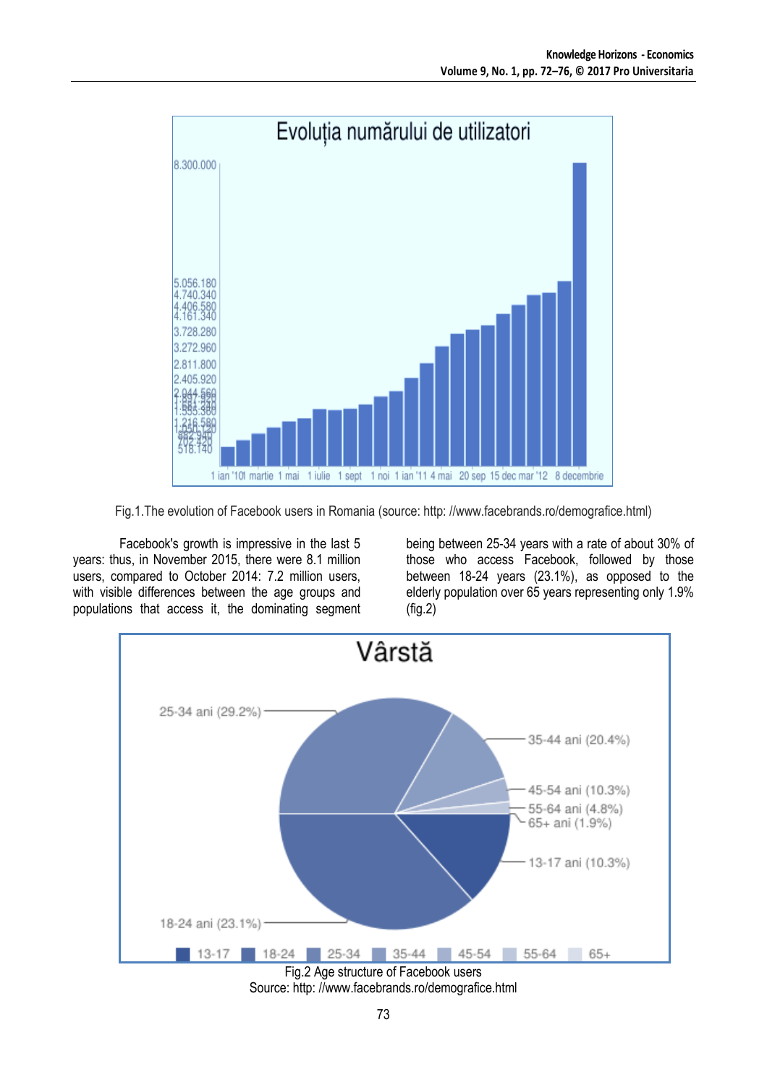

Fig.1.The evolution of Facebook users in Romania (source: http: //www.facebrands.ro/demografice.html)

Facebook's growth is impressive in the last 5 years: thus, in November 2015, there were 8.1 million users, compared to October 2014: 7.2 million users, with visible differences between the age groups and populations that access it, the dominating segment being between 25-34 years with a rate of about 30% of those who access Facebook, followed by those between 18-24 years (23.1%), as opposed to the elderly population over 65 years representing only 1.9% (fig.2)



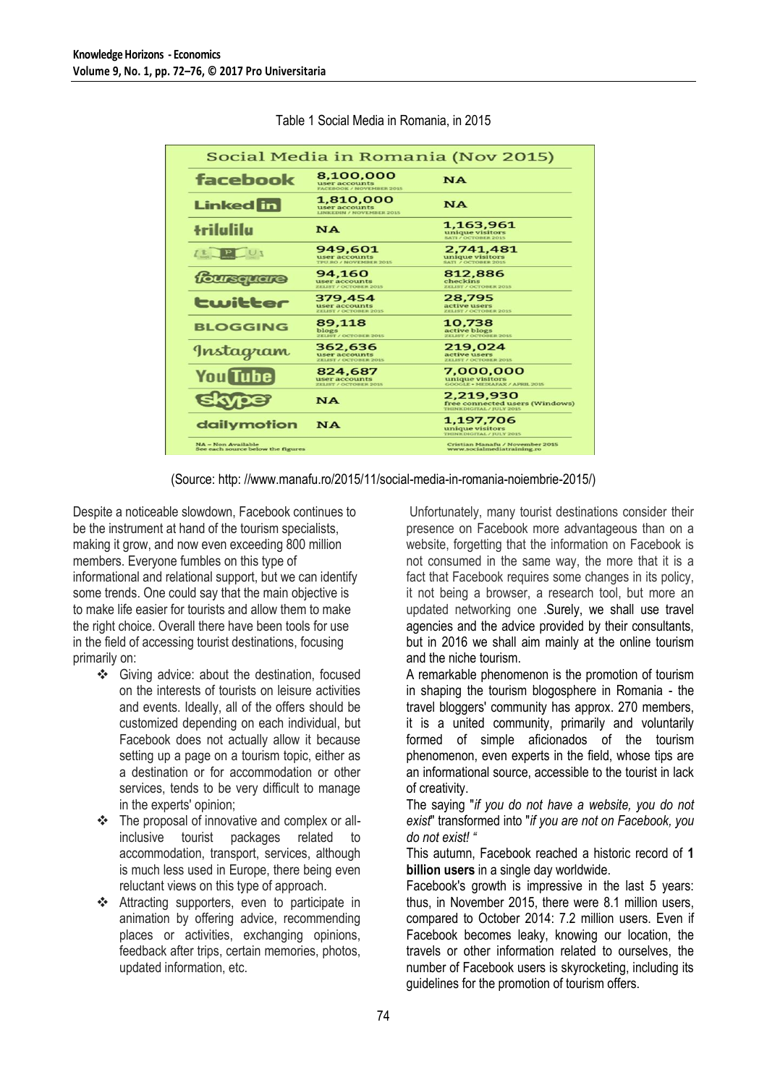|                                                                |                                                               | Social Media in Romania (Nov 2015)                                             |  |  |  |
|----------------------------------------------------------------|---------------------------------------------------------------|--------------------------------------------------------------------------------|--|--|--|
| facebook                                                       | 8,100,000<br>user accounts<br><b>FACEBOOK / NOVEMBER 2015</b> | <b>NA</b>                                                                      |  |  |  |
| <b>Linked</b> in                                               | 1,810,000<br>user accounts<br><b>LINKEDIN / NOVEMBER 2015</b> | <b>NA</b>                                                                      |  |  |  |
| +rilalila                                                      | <b>NA</b>                                                     | 1,163,961<br>unique visitors<br><b>SATI / OCTOBER 2015</b>                     |  |  |  |
|                                                                | 949,601<br>user accounts<br><b>TPU.RO / NOVEMBER 2015</b>     | 2,741,481<br>unique visitors<br><b>SATI / OCTOBER 2015</b>                     |  |  |  |
| foursquare                                                     | 94,160<br>user accounts<br><b>ZELIST / OCTOBER 2015</b>       | 812,886<br>checkins<br><b>ZELIST / OCTOBER 2015</b>                            |  |  |  |
| twitter                                                        | 379,454<br>user accounts<br><b>ZELIST / OCTOBER 2015</b>      | 28,795<br>active users<br><b>ZELIST / OCTOBER 2015</b>                         |  |  |  |
| <b>BLOGGING</b>                                                | 89,118<br>blogs<br><b>ZELIST / OCTOBER 2015</b>               | 10.738<br>active blogs<br><b>ZELIST / OCTOBER 2015</b>                         |  |  |  |
| Instagram                                                      | 362,636<br>user accounts<br><b>ZELIST / OCTOBER 2015</b>      | 219,024<br>active users<br><b>ZELIST / OCTOBER 2015</b>                        |  |  |  |
| <b>You Tube</b>                                                | 824.687<br>user accounts<br><b>ZELIST / OCTOBER 2015</b>      | 7,000,000<br>unique visitors<br><b>GOOGLE . MEDIAFAX / APRIL 2015</b>          |  |  |  |
|                                                                | NA                                                            | 2,219,930<br>free connected users (Windows)<br><b>THINKDIGITAL / JULY 2015</b> |  |  |  |
| dailymotion                                                    | <b>NA</b>                                                     | 1,197,706<br>unique visitors<br>THINKDIGITAL / JULY 2015                       |  |  |  |
| <b>NA = Non Available</b><br>See each source below the figures |                                                               | Cristian Manafu / November 2015<br>www.socialmediatraining.ro                  |  |  |  |

#### Table 1 Social Media in Romania, in 2015

(Source: http: //www.manafu.ro/2015/11/social-media-in-romania-noiembrie-2015/)

Despite a noticeable slowdown, Facebook continues to be the instrument at hand of the tourism specialists, making it grow, and now even exceeding 800 million members. Everyone fumbles on this type of informational and relational support, but we can identify some trends. One could say that the main objective is to make life easier for tourists and allow them to make the right choice. Overall there have been tools for use in the field of accessing tourist destinations, focusing primarily on:

- Giving advice: about the destination, focused on the interests of tourists on leisure activities and events. Ideally, all of the offers should be customized depending on each individual, but Facebook does not actually allow it because setting up a page on a tourism topic, either as a destination or for accommodation or other services, tends to be very difficult to manage in the experts' opinion;
- The proposal of innovative and complex or allinclusive tourist packages related to accommodation, transport, services, although is much less used in Europe, there being even reluctant views on this type of approach.
- Attracting supporters, even to participate in animation by offering advice, recommending places or activities, exchanging opinions, feedback after trips, certain memories, photos, updated information, etc.

Unfortunately, many tourist destinations consider their presence on Facebook more advantageous than on a website, forgetting that the information on Facebook is not consumed in the same way, the more that it is a fact that Facebook requires some changes in its policy, it not being a browser, a research tool, but more an updated networking one .Surely, we shall use travel agencies and the advice provided by their consultants, but in 2016 we shall aim mainly at the online tourism and the niche tourism.

A remarkable phenomenon is the promotion of tourism in shaping the tourism blogosphere in Romania - the travel bloggers' community has approx. 270 members, it is a united community, primarily and voluntarily formed of simple aficionados of the tourism phenomenon, even experts in the field, whose tips are an informational source, accessible to the tourist in lack of creativity.

The saying "*if you do not have a website, you do not exist*" transformed into "*if you are not on Facebook, you do not exist! "*

This autumn, Facebook reached a historic record of **1 billion users** in a single day worldwide.

Facebook's growth is impressive in the last 5 years: thus, in November 2015, there were 8.1 million users, compared to October 2014: 7.2 million users. Even if Facebook becomes leaky, knowing our location, the travels or other information related to ourselves, the number of Facebook users is skyrocketing, including its guidelines for the promotion of tourism offers.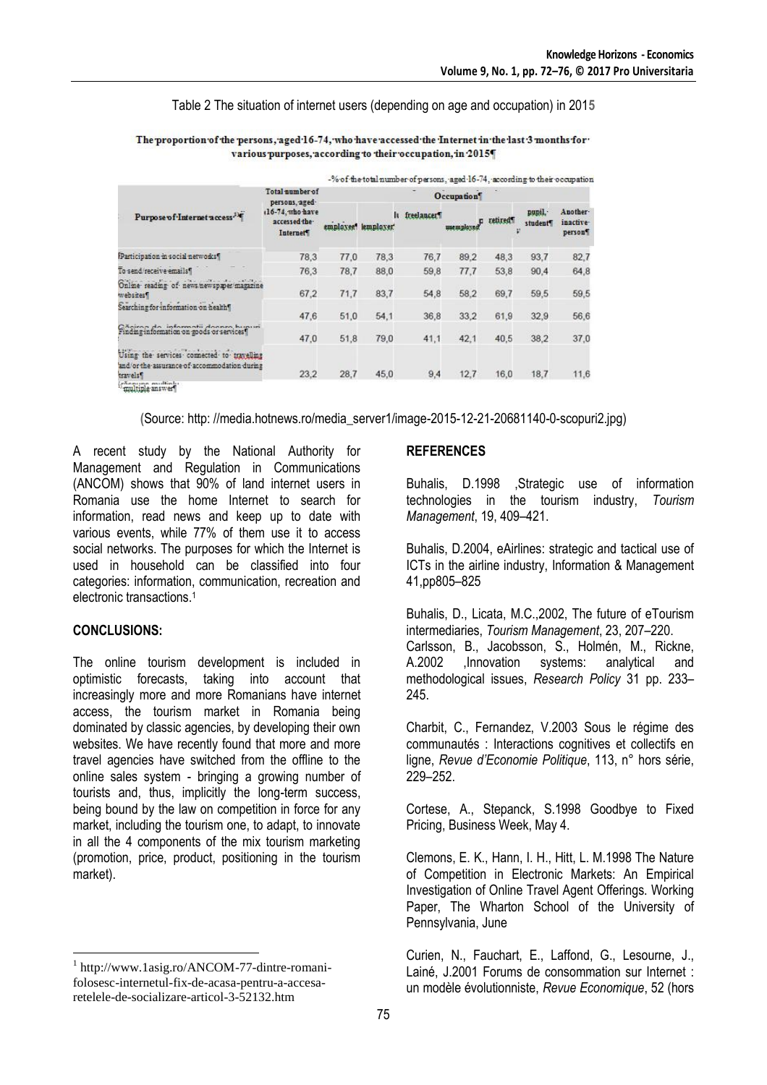#### Table 2 The situation of internet users (depending on age and occupation) in 201**5**

|                                                                                                                                        | -% of the total number of persons, aged 16-74, according to their occupation                          |            |                     |                            |          |         |                   |                                             |  |
|----------------------------------------------------------------------------------------------------------------------------------------|-------------------------------------------------------------------------------------------------------|------------|---------------------|----------------------------|----------|---------|-------------------|---------------------------------------------|--|
| Purpose of Internet access <sup>34</sup>                                                                                               | Total number of<br>persons, aged-<br>(16-74, who have<br>accessed the-<br><b>Internet<sup>4</sup></b> | Occupation |                     |                            |          |         |                   |                                             |  |
|                                                                                                                                        |                                                                                                       |            | employee" lemployer | It freelancer <sup>4</sup> | unemplo: | retired | pupil.<br>student | Auother-<br>inactive <sup>.</sup><br>person |  |
| Participation in social networks!                                                                                                      | 78.3                                                                                                  | 77.0       | 78.3                | 76.7                       | 89.2     | 48.3    | 93.7              | 82,7                                        |  |
| To send/receive emails"                                                                                                                | 76.3                                                                                                  | 78.7       | 88,0                | 59.8                       | 77.7     | 53.8    | 90.4              | 64,8                                        |  |
| the first constitution of the first state of the con-<br>Online reading of news newspaper magazine<br>websites?                        | 67.2                                                                                                  | 71,7       | 83.7                | 54,8                       | 58.2     | 69.7    | 59.5              | 59,5                                        |  |
| Searching for information on health!                                                                                                   | 47.6                                                                                                  | 51,0       | 54.1                | 36,8                       | 33.2     | 61,9    | 32.9              | 56,6                                        |  |
| Cănizan da informatii donnra humuni<br>Finding information on goods or services"                                                       | 47.0                                                                                                  | 51,8       | 79.0                | 41,1                       | 42.1     | 40.5    | 38.2              | 37,0                                        |  |
| Using the services connected to travelling<br>and/or the assurance of accommodation during<br>travels <sup>1</sup><br>Taultiple answer | 23,2                                                                                                  | 28,7       | 45.0                | 9,4                        | 12.7     | 16.0    | 18.7              | 11,6                                        |  |

The proportion of the persons, aged 16-74, who have accessed the Internet in the last 3 months for various purposes, according to their occupation, in 2015

**(**Source: http: //media.hotnews.ro/media\_server1/image-2015-12-21-20681140-0-scopuri2.jpg)

A recent study by the National Authority for Management and Regulation in Communications (ANCOM) shows that 90% of land internet users in Romania use the home Internet to search for information, read news and keep up to date with various events, while 77% of them use it to access social networks. The purposes for which the Internet is used in household can be classified into four categories: information, communication, recreation and electronic transactions.<sup>1</sup>

#### **CONCLUSIONS:**

 $\overline{a}$ 

The online tourism development is included in optimistic forecasts, taking into account that increasingly more and more Romanians have internet access, the tourism market in Romania being dominated by classic agencies, by developing their own websites. We have recently found that more and more travel agencies have switched from the offline to the online sales system - bringing a growing number of tourists and, thus, implicitly the long-term success, being bound by the law on competition in force for any market, including the tourism one, to adapt, to innovate in all the 4 components of the mix tourism marketing (promotion, price, product, positioning in the tourism market).

#### **REFERENCES**

Buhalis, D.1998 ,Strategic use of information technologies in the tourism industry, *Tourism Management*, 19, 409–421.

Buhalis, D.2004, eAirlines: strategic and tactical use of ICTs in the airline industry, Information & Management 41,pp805–825

Buhalis, D., Licata, M.C.,2002, The future of eTourism intermediaries, *Tourism Management*, 23, 207–220. Carlsson, B., Jacobsson, S., Holmén, M., Rickne, A.2002 ,Innovation systems: analytical and methodological issues, *Research Policy* 31 pp. 233– 245.

Charbit, C., Fernandez, V.2003 Sous le régime des communautés : Interactions cognitives et collectifs en ligne, *Revue d'Economie Politique*, 113, n° hors série, 229–252.

Cortese, A., Stepanck, S.1998 Goodbye to Fixed Pricing, Business Week, May 4.

Clemons, E. K., Hann, I. H., Hitt, L. M.1998 The Nature of Competition in Electronic Markets: An Empirical Investigation of Online Travel Agent Offerings. Working Paper, The Wharton School of the University of Pennsylvania, June

Curien, N., Fauchart, E., Laffond, G., Lesourne, J., Lainé, J.2001 Forums de consommation sur Internet : un modèle évolutionniste, *Revue Economique*, 52 (hors

<sup>1</sup> http://www.1asig.ro/ANCOM-77-dintre-romanifolosesc-internetul-fix-de-acasa-pentru-a-accesaretelele-de-socializare-articol-3-52132.htm